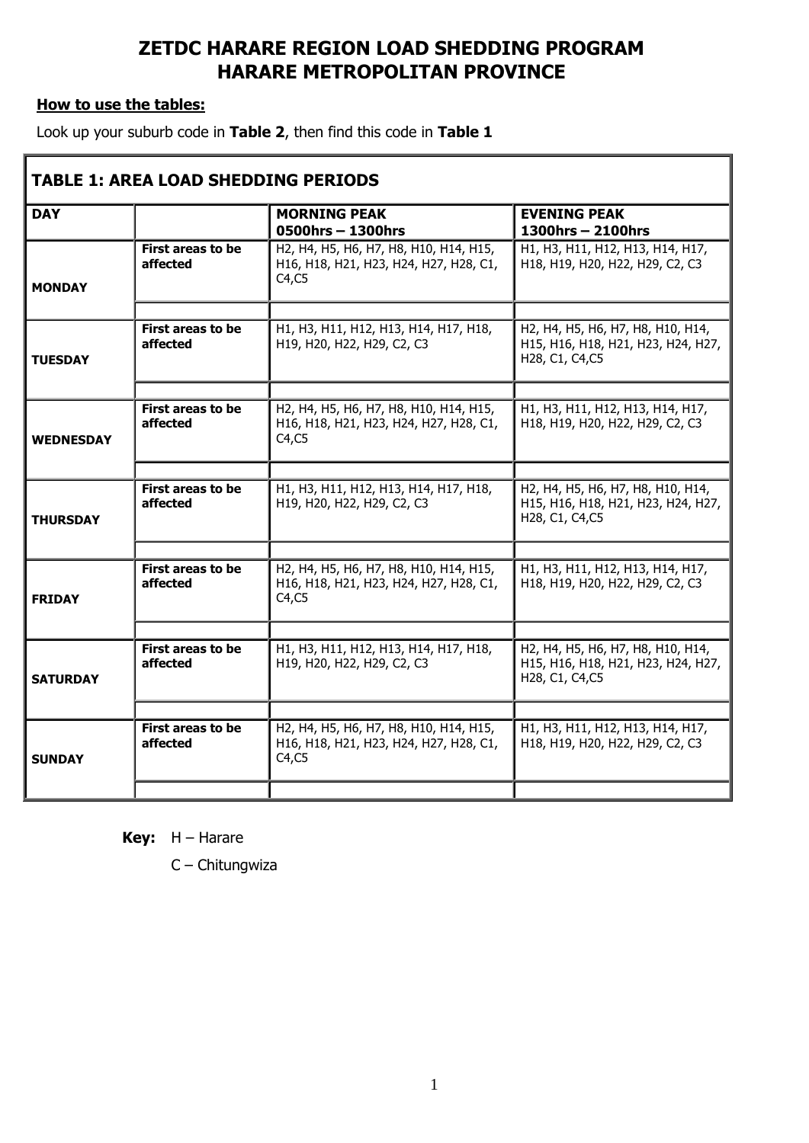## **ZETDC HARARE REGION LOAD SHEDDING PROGRAM HARARE METROPOLITAN PROVINCE**

## **How to use the tables:**

Look up your suburb code in **Table 2**, then find this code in **Table 1**

| <b>TABLE 1: AREA LOAD SHEDDING PERIODS</b> |                                      |                                                                                            |                                                                                            |  |  |  |  |
|--------------------------------------------|--------------------------------------|--------------------------------------------------------------------------------------------|--------------------------------------------------------------------------------------------|--|--|--|--|
| <b>DAY</b>                                 |                                      | <b>MORNING PEAK</b><br>0500hrs - 1300hrs                                                   | <b>EVENING PEAK</b><br>$1300$ hrs - 2100hrs                                                |  |  |  |  |
| <b>MONDAY</b>                              | First areas to be<br>affected        | H2, H4, H5, H6, H7, H8, H10, H14, H15,<br>H16, H18, H21, H23, H24, H27, H28, C1,<br>C4, C5 | H1, H3, H11, H12, H13, H14, H17,<br>H18, H19, H20, H22, H29, C2, C3                        |  |  |  |  |
|                                            | <b>First areas to be</b><br>affected | H1, H3, H11, H12, H13, H14, H17, H18,<br>H19, H20, H22, H29, C2, C3                        | H2, H4, H5, H6, H7, H8, H10, H14,<br>H15, H16, H18, H21, H23, H24, H27,                    |  |  |  |  |
| <b>TUESDAY</b>                             |                                      |                                                                                            | H28, C1, C4, C5                                                                            |  |  |  |  |
| <b>WEDNESDAY</b>                           | <b>First areas to be</b><br>affected | H2, H4, H5, H6, H7, H8, H10, H14, H15,<br>H16, H18, H21, H23, H24, H27, H28, C1,<br>C4, C5 | H1, H3, H11, H12, H13, H14, H17,<br>H18, H19, H20, H22, H29, C2, C3                        |  |  |  |  |
| <b>THURSDAY</b>                            | <b>First areas to be</b><br>affected | H1, H3, H11, H12, H13, H14, H17, H18,<br>H19, H20, H22, H29, C2, C3                        | H2, H4, H5, H6, H7, H8, H10, H14,<br>H15, H16, H18, H21, H23, H24, H27,<br>H28, C1, C4, C5 |  |  |  |  |
| <b>FRIDAY</b>                              | <b>First areas to be</b><br>affected | H2, H4, H5, H6, H7, H8, H10, H14, H15,<br>H16, H18, H21, H23, H24, H27, H28, C1,<br>C4, C5 | H1, H3, H11, H12, H13, H14, H17,<br>H18, H19, H20, H22, H29, C2, C3                        |  |  |  |  |
| <b>SATURDAY</b>                            | First areas to be<br>affected        | H1, H3, H11, H12, H13, H14, H17, H18,<br>H19, H20, H22, H29, C2, C3                        | H2, H4, H5, H6, H7, H8, H10, H14,<br>H15, H16, H18, H21, H23, H24, H27,<br>H28, C1, C4, C5 |  |  |  |  |
| <b>SUNDAY</b>                              | <b>First areas to be</b><br>affected | H2, H4, H5, H6, H7, H8, H10, H14, H15,<br>H16, H18, H21, H23, H24, H27, H28, C1,<br>C4, C5 | H1, H3, H11, H12, H13, H14, H17,<br>H18, H19, H20, H22, H29, C2, C3                        |  |  |  |  |
|                                            |                                      |                                                                                            |                                                                                            |  |  |  |  |

**Key:** H – Harare

C – Chitungwiza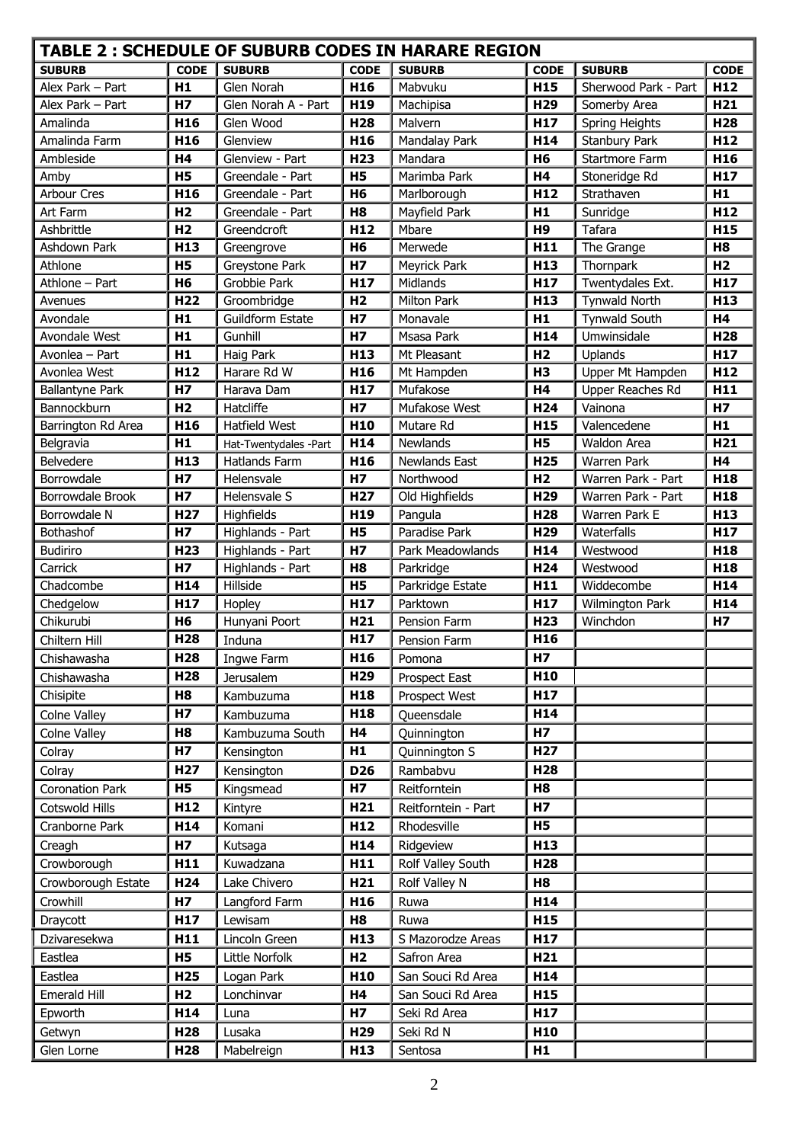| TABLE 2 : SCHEDULE OF SUBURB CODES IN HARARE REGION |                              |                                      |                                  |                               |                        |                                          |                        |  |  |
|-----------------------------------------------------|------------------------------|--------------------------------------|----------------------------------|-------------------------------|------------------------|------------------------------------------|------------------------|--|--|
| <b>SUBURB</b>                                       | CODE                         | <b>SUBURB</b>                        | <b>CODE</b>                      | <b>SUBURB</b>                 | <b>CODE</b>            | <b>SUBURB</b>                            | <b>CODE</b>            |  |  |
| Alex Park - Part                                    | H1                           | Glen Norah                           | H16                              | Mabvuku                       | H <sub>15</sub>        | Sherwood Park - Part                     | H <sub>12</sub>        |  |  |
| Alex Park - Part                                    | <b>H7</b>                    | Glen Norah A - Part                  | H19                              | Machipisa                     | H <sub>29</sub>        | Somerby Area                             | H <sub>21</sub>        |  |  |
| Amalinda                                            | H <sub>16</sub>              | Glen Wood                            | H <sub>28</sub>                  | Malvern                       | H17                    | Spring Heights                           | H <sub>28</sub>        |  |  |
| Amalinda Farm                                       | H <sub>16</sub>              | Glenview                             | H <sub>16</sub>                  | Mandalay Park                 | H14                    | <b>Stanbury Park</b>                     | H <sub>12</sub>        |  |  |
| Ambleside                                           | H4                           | Glenview - Part                      | H <sub>23</sub>                  | Mandara                       | <b>H6</b>              | Startmore Farm                           | H <sub>16</sub>        |  |  |
| Amby                                                | H <sub>5</sub>               | Greendale - Part                     | H <sub>5</sub>                   | Marimba Park                  | <b>H4</b>              | Stoneridge Rd                            | H <sub>17</sub>        |  |  |
| <b>Arbour Cres</b>                                  | H <sub>16</sub>              | Greendale - Part                     | <b>H6</b>                        | Marlborough                   | H <sub>12</sub>        | Strathaven                               | H1                     |  |  |
| Art Farm                                            | H <sub>2</sub>               | Greendale - Part                     | H <sub>8</sub>                   | Mayfield Park                 | H1                     | Sunridge                                 | H <sub>12</sub>        |  |  |
| Ashbrittle                                          | H <sub>2</sub>               | Greendcroft                          | H <sub>12</sub>                  | Mbare                         | H <sub>9</sub>         | Tafara                                   | H <sub>15</sub>        |  |  |
| Ashdown Park                                        | H <sub>13</sub>              | Greengrove                           | <b>H6</b>                        | Merwede                       | H <sub>11</sub>        | The Grange                               | H <sub>8</sub>         |  |  |
| Athlone                                             | H <sub>5</sub>               | Greystone Park                       | <b>H7</b>                        | Meyrick Park                  | H <sub>13</sub>        | Thornpark                                | H <sub>2</sub>         |  |  |
| Athlone - Part                                      | H <sub>6</sub>               | Grobbie Park                         | H <sub>17</sub>                  | Midlands                      | H <sub>17</sub>        | Twentydales Ext.                         | H17                    |  |  |
| Avenues                                             | H <sub>22</sub>              | Groombridge                          | H <sub>2</sub>                   | <b>Milton Park</b>            | H <sub>13</sub>        | <b>Tynwald North</b>                     | H <sub>13</sub>        |  |  |
| Avondale                                            | H1                           | <b>Guildform Estate</b>              | <b>H7</b>                        | Monavale                      | H1                     | <b>Tynwald South</b>                     | <b>H4</b>              |  |  |
| Avondale West                                       | H1                           | Gunhill                              | <b>H7</b>                        | Msasa Park                    | H14                    | Umwinsidale                              | H <sub>28</sub>        |  |  |
| Avonlea - Part                                      | H1                           | Haig Park                            | H <sub>13</sub>                  | Mt Pleasant                   | H <sub>2</sub>         | Uplands                                  | H17                    |  |  |
| Avonlea West                                        | H <sub>12</sub>              | Harare Rd W                          | H <sub>16</sub>                  | Mt Hampden                    | <b>H3</b>              | Upper Mt Hampden                         | H12                    |  |  |
| <b>Ballantyne Park</b>                              | <b>H7</b>                    | Harava Dam                           | H <sub>17</sub>                  | Mufakose                      | H <sub>4</sub>         | Upper Reaches Rd                         | H11                    |  |  |
| Bannockburn                                         | H <sub>2</sub>               | Hatcliffe                            | <b>H7</b>                        | Mufakose West                 | H <sub>24</sub>        | Vainona                                  | <b>H7</b>              |  |  |
| Barrington Rd Area                                  | H16                          | <b>Hatfield West</b>                 | H <sub>10</sub>                  | Mutare Rd                     | H <sub>15</sub>        | Valencedene                              | H1                     |  |  |
| Belgravia                                           | H1                           | Hat-Twentydales -Part                | H14                              | <b>Newlands</b>               | H <sub>5</sub>         | Waldon Area                              | H <sub>21</sub>        |  |  |
| Belvedere                                           | H <sub>13</sub>              | Hatlands Farm                        | H16                              | Newlands East                 | H <sub>25</sub>        | <b>Warren Park</b>                       | H4                     |  |  |
| Borrowdale                                          | <b>H7</b>                    | Helensvale                           | <b>H7</b>                        | Northwood                     | H <sub>2</sub>         | Warren Park - Part<br>Warren Park - Part | H18                    |  |  |
| Borrowdale Brook                                    | <b>H7</b>                    | Helensvale S                         | H <sub>27</sub>                  | Old Highfields                | H <sub>29</sub>        |                                          | H <sub>18</sub><br>H13 |  |  |
| Borrowdale N                                        | H <sub>27</sub>              | Highfields                           | H <sub>19</sub>                  | Pangula                       | H <sub>28</sub>        | Warren Park E                            | H <sub>17</sub>        |  |  |
| Bothashof<br><b>Budiriro</b>                        | <b>H7</b><br>H <sub>23</sub> | Highlands - Part<br>Highlands - Part | H <sub>5</sub><br>H <sub>7</sub> | Paradise Park                 | H <sub>29</sub><br>H14 | Waterfalls<br>Westwood                   | H18                    |  |  |
| Carrick                                             | <b>H7</b>                    | Highlands - Part                     | H <sub>8</sub>                   | Park Meadowlands<br>Parkridge | H <sub>24</sub>        | Westwood                                 | H18                    |  |  |
| Chadcombe                                           | H14                          | Hillside                             | <b>H5</b>                        | Parkridge Estate              | H11                    | Widdecombe                               | H14                    |  |  |
| Chedgelow                                           | H17                          | Hopley                               | H <sub>17</sub>                  | Parktown                      | H <sub>17</sub>        | Wilmington Park                          | H14                    |  |  |
| Chikurubi                                           | H <sub>6</sub>               | Hunyani Poort                        | H21                              | Pension Farm                  | H <sub>23</sub>        | Winchdon                                 | <b>H7</b>              |  |  |
| Chiltern Hill                                       | H <sub>28</sub>              | Induna                               | H17                              | Pension Farm                  | H16                    |                                          |                        |  |  |
| Chishawasha                                         | H <sub>28</sub>              | Ingwe Farm                           | H <sub>16</sub>                  | Pomona                        | H7                     |                                          |                        |  |  |
| Chishawasha                                         | H <sub>28</sub>              | <b>Jerusalem</b>                     | H <sub>29</sub>                  | Prospect East                 | H <sub>10</sub>        |                                          |                        |  |  |
| Chisipite                                           | H <sub>8</sub>               | Kambuzuma                            | H <sub>18</sub>                  | Prospect West                 | H <sub>17</sub>        |                                          |                        |  |  |
| Colne Valley                                        | <b>H7</b>                    | Kambuzuma                            | H18                              | Queensdale                    | H14                    |                                          |                        |  |  |
| Colne Valley                                        | H <sub>8</sub>               | Kambuzuma South                      | H4                               |                               | H7                     |                                          |                        |  |  |
|                                                     | <b>H7</b>                    |                                      | H1                               | Quinnington                   | H <sub>27</sub>        |                                          |                        |  |  |
| Colray                                              |                              | Kensington                           |                                  | Quinnington S                 |                        |                                          |                        |  |  |
| Colray                                              | H <sub>27</sub>              | Kensington                           | <b>D26</b>                       | Rambabvu                      | H <sub>28</sub>        |                                          |                        |  |  |
| <b>Coronation Park</b>                              | <b>H5</b>                    | Kingsmead                            | H7                               | Reitforntein                  | H8                     |                                          |                        |  |  |
| Cotswold Hills                                      | H <sub>12</sub>              | Kintyre                              | H21                              | Reitforntein - Part           | H7                     |                                          |                        |  |  |
| Cranborne Park                                      | H14                          | Komani                               | H <sub>12</sub>                  | Rhodesville                   | <b>H5</b>              |                                          |                        |  |  |
| Creagh                                              | H7                           | Kutsaga                              | H14                              | Ridgeview                     | H <sub>13</sub>        |                                          |                        |  |  |
| Crowborough                                         | H <sub>11</sub>              | Kuwadzana                            | H11                              | Rolf Valley South             | H <sub>28</sub>        |                                          |                        |  |  |
| Crowborough Estate                                  | H <sub>24</sub>              | Lake Chivero                         | H21                              | Rolf Valley N                 | H <sub>8</sub>         |                                          |                        |  |  |
| Crowhill                                            | <b>H7</b>                    | Langford Farm                        | H <sub>16</sub>                  | Ruwa                          | H14                    |                                          |                        |  |  |
| Draycott                                            | H <sub>17</sub>              | Lewisam                              | H8                               | Ruwa                          | H <sub>15</sub>        |                                          |                        |  |  |
| Dzivaresekwa                                        | H <sub>11</sub>              | Lincoln Green                        | H <sub>13</sub>                  | S Mazorodze Areas             | H <sub>17</sub>        |                                          |                        |  |  |
| Eastlea                                             | H <sub>5</sub>               | Little Norfolk                       | H <sub>2</sub>                   | Safron Area                   | H21                    |                                          |                        |  |  |
| Eastlea                                             | H <sub>25</sub>              | Logan Park                           | H <sub>10</sub>                  | San Souci Rd Area             | H14                    |                                          |                        |  |  |
| Emerald Hill                                        | H <sub>2</sub>               | Lonchinvar                           | <b>H4</b>                        | San Souci Rd Area             | H <sub>15</sub>        |                                          |                        |  |  |
| Epworth                                             | H14                          | Luna                                 | <b>H7</b>                        | Seki Rd Area                  | H <sub>17</sub>        |                                          |                        |  |  |
| Getwyn                                              | H <sub>28</sub>              | Lusaka                               | H <sub>29</sub>                  | Seki Rd N                     | H <sub>10</sub>        |                                          |                        |  |  |
| Glen Lorne                                          | H <sub>28</sub>              | Mabelreign                           | H <sub>13</sub>                  | Sentosa                       | H1                     |                                          |                        |  |  |